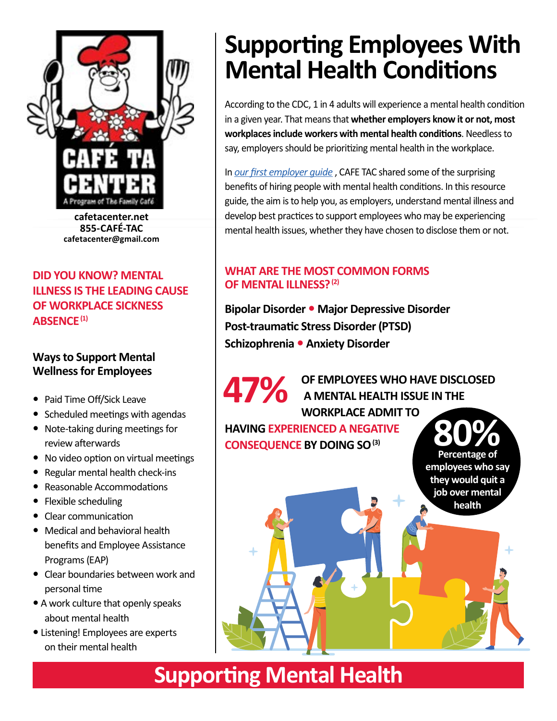

**cafetacenter.net 855-CAFÉ-TAC cafetacenter@gmail.com**

#### **DID YOU KNOW? MENTAL ILLNESS IS THE LEADING CAUSE OF WORKPLACE SICKNESS ABSENCE(1)**

#### **Ways to Support Mental Wellness for Employees**

- Paid Time Off/Sick Leave
- Scheduled meetings with agendas
- Note-taking during meetings for review afterwards No video option on virtual meetings Regular mental health check-ins Reasonable Accommodations Flexible scheduling
- y Clear communication Medical and behavioral health benefits and Employee Assistance Programs (EAP)
- y Clear boundaries between work and personal time A work culture that openly speaks about mental health
- y Listening! Employees are experts on their mental health
- y Tailor approach to the individual

## **Supporting Employees With Mental Health Conditions**

According to the CDC, 1 in 4 adults will experience a mental health condition in a given year. That means that **whether employers know it or not, most workplaces include workers with mental health conditions**. Needless to say, employers should be prioritizing mental health in the workplace.

In *[our first employer guide](http://cafetacenter.net/new/wp-content/uploads/2021/12/TAC_EmploymentGuide_Final.pdf)* , CAFE TAC shared some of the surprising benefits of hiring people with mental health conditions. In this resource guide, the aim is to help you, as employers, understand mental illness and develop best practices to support employees who may be experiencing mental health issues, whether they have chosen to disclose them or not.

#### **WHAT ARE THE MOST COMMON FORMS OF MENTAL ILLNESS? (2)**

**Bipolar Disorder Major Depressive Disorder Post-traumatic Stress Disorder (PTSD) Schizophrenia Anxiety Disorder**

**OF EMPLOYEES WHO HAVE DISCLOSED A MENTAL HEALTH ISSUE IN THE WORKPLACE ADMIT TO HAVING EXPERIENCED A NEGATIVE CONSEQUENCE BY DOING SO 47%**

**Percentage of employees who say they would quit a job over mental health**

## **Supporting Mental Health**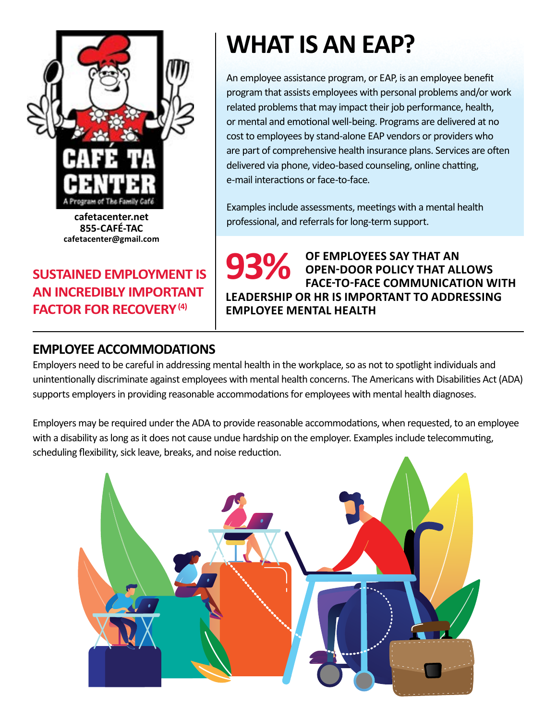

**cafetacenter.net 855-CAFÉ-TAC [cafetacenter@gmail.com](mailto:cafetacenter@gmail.com)**

## **SUSTAINED EMPLOYMENT IS AN INCREDIBLY IMPORTANT FACTOR FOR RECOVERY (4)**

## **WHAT IS AN EAP?**

An employee assistance program, or EAP, is an employee benefit program that assists employees with personal problems and/or work related problems that may impact their job performance, health, or mental and emotional well-being. Programs are delivered at no cost to employees by stand-alone EAP vendors or providers who are part of comprehensive health insurance plans. Services are often delivered via phone, video-based counseling, online chatting, e-mail interactions or face-to-face.

Examples include assessments, meetings with a mental health professional, and referrals for long-term support.

**OF EMPLOYEES SAY THAT AN OPEN-DOOR POLICY THAT ALLOWS FACE-TO-FACE COMMUNICATION WITH LEADERSHIP OR HR IS IMPORTANT TO ADDRESSING EMPLOYEE MENTAL HEALTH 93%** 

### **EMPLOYEE ACCOMMODATIONS**

Employers need to be careful in addressing mental health in the workplace, so as not to spotlight individuals and unintentionally discriminate against employees with mental health concerns. The Americans with Disabilities Act (ADA) supports employers in providing reasonable accommodations for employees with mental health-related disabilities.

Employers may be required under the ADA to provide reasonable accommodations, when requested, to an employee with a disability as long as it does not cause undue hardship on the employer. Examples include telecommuting, scheduling flexibility, sick leave, breaks, and noise reduction.

For more about disability, mental health, and the ADA, see the fact sheet at https://adata.org/factsheet/health.

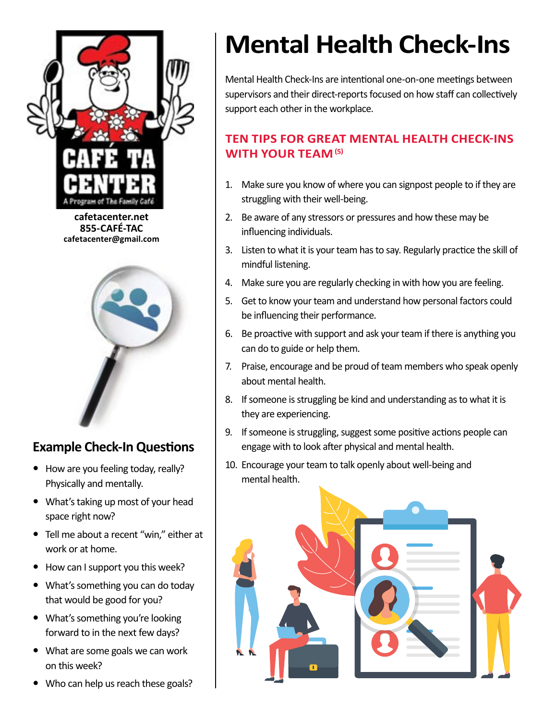

**cafetacenter.net 855-CAFÉ-TAC cafetacenter@gmail.com**



## **Example Check-In Questions**

- How are you feeling today, really? Physically and mentally.
- What's taking up most of your head space right now?
- Tell me about a recent "win," either at work or at home.
- How can I support you this week?
- What's something you can do today that would be good for you?
- What's something you're looking forward to in the next few days?
- What are some goals we can work on this week?
- Who can help us reach these goals?

# **Mental Health Check-Ins**

Mental Health Check-Ins are intentional one-on-one meetings between supervisors and their direct-reports focused on how staff can collectively support each other in the workplace.

They should always be voluntary for employees, who should have control over what and how much they share, and with whom they share it.

### **TEN TIPS FOR GREAT MENTAL HEALTH CHECK-INS WITH YOUR TEAM(6)**

- 1. Make sure you know of where you can signpost people to if they are struggling with their well-being.
- 2. Be aware of any stressors or pressures and how these may be influencing individuals.
- 3. Listen to what it is your team has to say. Regularly practice the skill of mindful listening.
- 4. Make sure you are regularly checking in with how you are feeling.
- 5. Get to know your team and understand how personal factors could be influencing their performance.
- 6. Be proactive with support and ask your team if there is anything you can do to guide or help them.
- 7. Praise, encourage and be proud of team members who speak openly about mental health.
- 8. If someone is struggling be kind and understanding as to what it is they are experiencing.
- 9. If someone is struggling, suggest some positive actions people can engage with to look after physical and mental health.
- 10. Encourage your team to talk openly about well-being and mental health.